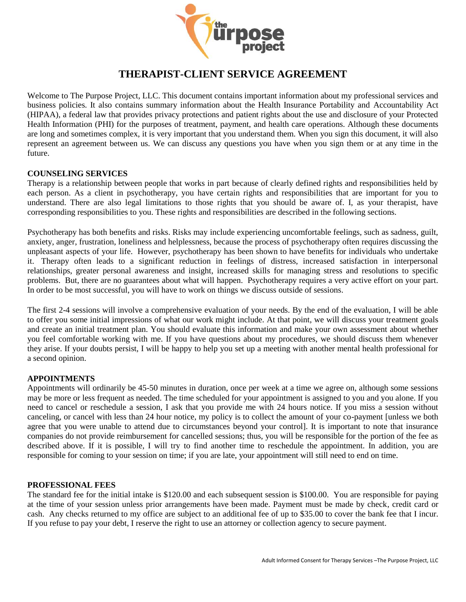

# **THERAPIST-CLIENT SERVICE AGREEMENT**

Welcome to The Purpose Project, LLC. This document contains important information about my professional services and business policies. It also contains summary information about the Health Insurance Portability and Accountability Act (HIPAA), a federal law that provides privacy protections and patient rights about the use and disclosure of your Protected Health Information (PHI) for the purposes of treatment, payment, and health care operations. Although these documents are long and sometimes complex, it is very important that you understand them. When you sign this document, it will also represent an agreement between us. We can discuss any questions you have when you sign them or at any time in the future.

## **COUNSELING SERVICES**

Therapy is a relationship between people that works in part because of clearly defined rights and responsibilities held by each person. As a client in psychotherapy, you have certain rights and responsibilities that are important for you to understand. There are also legal limitations to those rights that you should be aware of. I, as your therapist, have corresponding responsibilities to you. These rights and responsibilities are described in the following sections.

Psychotherapy has both benefits and risks. Risks may include experiencing uncomfortable feelings, such as sadness, guilt, anxiety, anger, frustration, loneliness and helplessness, because the process of psychotherapy often requires discussing the unpleasant aspects of your life. However, psychotherapy has been shown to have benefits for individuals who undertake it. Therapy often leads to a significant reduction in feelings of distress, increased satisfaction in interpersonal relationships, greater personal awareness and insight, increased skills for managing stress and resolutions to specific problems. But, there are no guarantees about what will happen. Psychotherapy requires a very active effort on your part. In order to be most successful, you will have to work on things we discuss outside of sessions.

The first 2-4 sessions will involve a comprehensive evaluation of your needs. By the end of the evaluation, I will be able to offer you some initial impressions of what our work might include. At that point, we will discuss your treatment goals and create an initial treatment plan. You should evaluate this information and make your own assessment about whether you feel comfortable working with me. If you have questions about my procedures, we should discuss them whenever they arise. If your doubts persist, I will be happy to help you set up a meeting with another mental health professional for a second opinion.

## **APPOINTMENTS**

Appointments will ordinarily be 45-50 minutes in duration, once per week at a time we agree on, although some sessions may be more or less frequent as needed. The time scheduled for your appointment is assigned to you and you alone. If you need to cancel or reschedule a session, I ask that you provide me with 24 hours notice. If you miss a session without canceling, or cancel with less than 24 hour notice, my policy is to collect the amount of your co-payment [unless we both agree that you were unable to attend due to circumstances beyond your control]. It is important to note that insurance companies do not provide reimbursement for cancelled sessions; thus, you will be responsible for the portion of the fee as described above. If it is possible, I will try to find another time to reschedule the appointment. In addition, you are responsible for coming to your session on time; if you are late, your appointment will still need to end on time.

## **PROFESSIONAL FEES**

The standard fee for the initial intake is \$120.00 and each subsequent session is \$100.00. You are responsible for paying at the time of your session unless prior arrangements have been made. Payment must be made by check, credit card or cash. Any checks returned to my office are subject to an additional fee of up to \$35.00 to cover the bank fee that I incur. If you refuse to pay your debt, I reserve the right to use an attorney or collection agency to secure payment.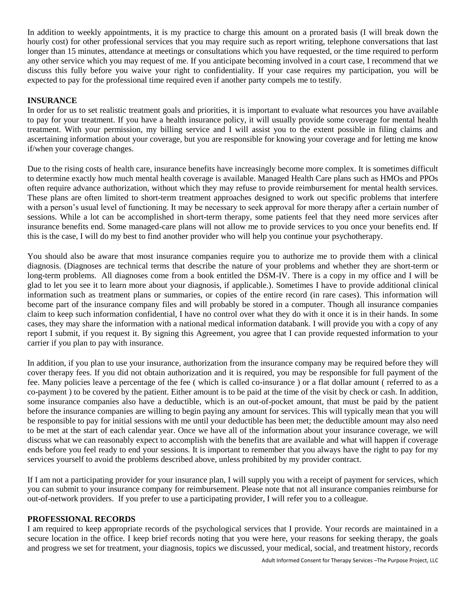In addition to weekly appointments, it is my practice to charge this amount on a prorated basis (I will break down the hourly cost) for other professional services that you may require such as report writing, telephone conversations that last longer than 15 minutes, attendance at meetings or consultations which you have requested, or the time required to perform any other service which you may request of me. If you anticipate becoming involved in a court case, I recommend that we discuss this fully before you waive your right to confidentiality. If your case requires my participation, you will be expected to pay for the professional time required even if another party compels me to testify.

## **INSURANCE**

In order for us to set realistic treatment goals and priorities, it is important to evaluate what resources you have available to pay for your treatment. If you have a health insurance policy, it will usually provide some coverage for mental health treatment. With your permission, my billing service and I will assist you to the extent possible in filing claims and ascertaining information about your coverage, but you are responsible for knowing your coverage and for letting me know if/when your coverage changes.

Due to the rising costs of health care, insurance benefits have increasingly become more complex. It is sometimes difficult to determine exactly how much mental health coverage is available. Managed Health Care plans such as HMOs and PPOs often require advance authorization, without which they may refuse to provide reimbursement for mental health services. These plans are often limited to short-term treatment approaches designed to work out specific problems that interfere with a person's usual level of functioning. It may be necessary to seek approval for more therapy after a certain number of sessions. While a lot can be accomplished in short-term therapy, some patients feel that they need more services after insurance benefits end. Some managed-care plans will not allow me to provide services to you once your benefits end. If this is the case, I will do my best to find another provider who will help you continue your psychotherapy.

You should also be aware that most insurance companies require you to authorize me to provide them with a clinical diagnosis. (Diagnoses are technical terms that describe the nature of your problems and whether they are short-term or long-term problems. All diagnoses come from a book entitled the DSM-IV. There is a copy in my office and I will be glad to let you see it to learn more about your diagnosis, if applicable.). Sometimes I have to provide additional clinical information such as treatment plans or summaries, or copies of the entire record (in rare cases). This information will become part of the insurance company files and will probably be stored in a computer. Though all insurance companies claim to keep such information confidential, I have no control over what they do with it once it is in their hands. In some cases, they may share the information with a national medical information databank. I will provide you with a copy of any report I submit, if you request it. By signing this Agreement, you agree that I can provide requested information to your carrier if you plan to pay with insurance.

In addition, if you plan to use your insurance, authorization from the insurance company may be required before they will cover therapy fees. If you did not obtain authorization and it is required, you may be responsible for full payment of the fee. Many policies leave a percentage of the fee ( which is called co-insurance ) or a flat dollar amount ( referred to as a co-payment ) to be covered by the patient. Either amount is to be paid at the time of the visit by check or cash. In addition, some insurance companies also have a deductible, which is an out-of-pocket amount, that must be paid by the patient before the insurance companies are willing to begin paying any amount for services. This will typically mean that you will be responsible to pay for initial sessions with me until your deductible has been met; the deductible amount may also need to be met at the start of each calendar year. Once we have all of the information about your insurance coverage, we will discuss what we can reasonably expect to accomplish with the benefits that are available and what will happen if coverage ends before you feel ready to end your sessions. It is important to remember that you always have the right to pay for my services yourself to avoid the problems described above, unless prohibited by my provider contract.

If I am not a participating provider for your insurance plan, I will supply you with a receipt of payment for services, which you can submit to your insurance company for reimbursement. Please note that not all insurance companies reimburse for out-of-network providers. If you prefer to use a participating provider, I will refer you to a colleague.

#### **PROFESSIONAL RECORDS**

I am required to keep appropriate records of the psychological services that I provide. Your records are maintained in a secure location in the office. I keep brief records noting that you were here, your reasons for seeking therapy, the goals and progress we set for treatment, your diagnosis, topics we discussed, your medical, social, and treatment history, records